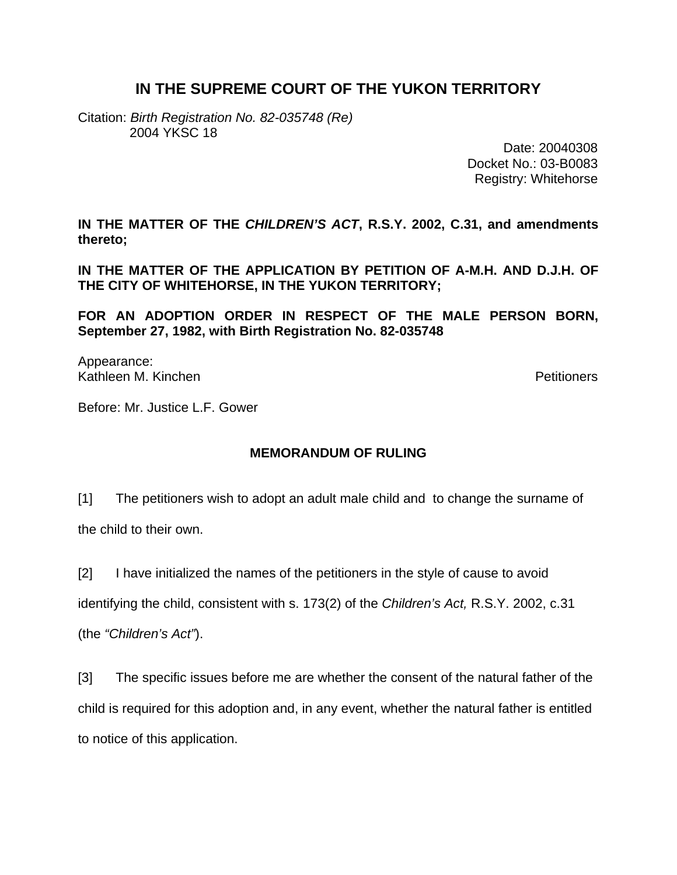## **IN THE SUPREME COURT OF THE YUKON TERRITORY**

Citation: *Birth Registration No. 82-035748 (Re)*  2004 YKSC 18

> Date: 20040308 Docket No.: 03-B0083 Registry: Whitehorse

**IN THE MATTER OF THE** *CHILDREN'S ACT***, R.S.Y. 2002, C.31, and amendments thereto;** 

**IN THE MATTER OF THE APPLICATION BY PETITION OF A-M.H. AND D.J.H. OF THE CITY OF WHITEHORSE, IN THE YUKON TERRITORY;** 

**FOR AN ADOPTION ORDER IN RESPECT OF THE MALE PERSON BORN, September 27, 1982, with Birth Registration No. 82-035748** 

Appearance: Kathleen M. Kinchen Petitioners

Before: Mr. Justice L.F. Gower

## **MEMORANDUM OF RULING**

[1] The petitioners wish to adopt an adult male child and to change the surname of the child to their own.

[2] I have initialized the names of the petitioners in the style of cause to avoid

identifying the child, consistent with s. 173(2) of the *Children's Act,* R.S.Y. 2002, c.31

(the *"Children's Act"*).

[3] The specific issues before me are whether the consent of the natural father of the child is required for this adoption and, in any event, whether the natural father is entitled to notice of this application.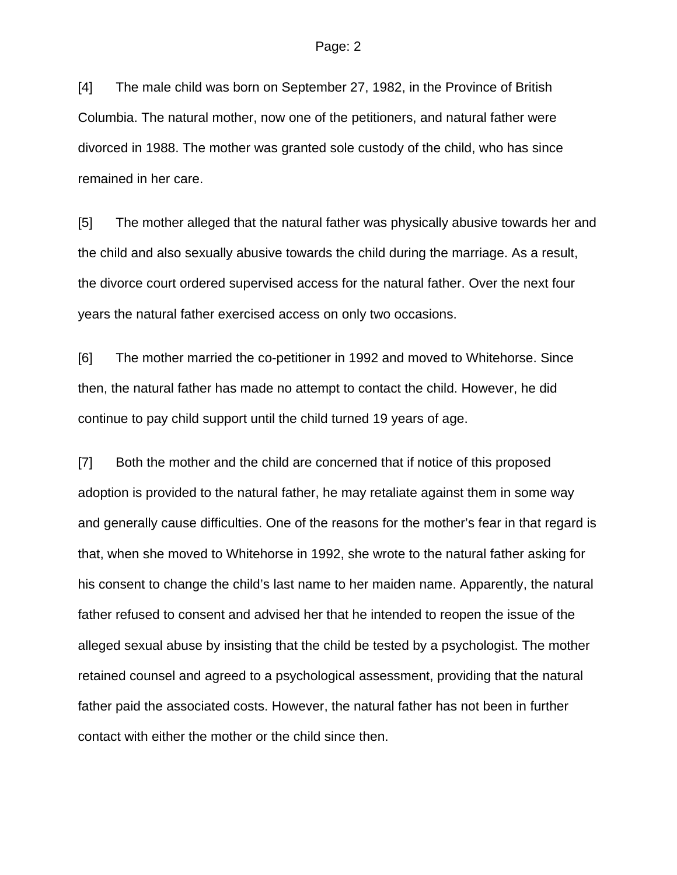[4] The male child was born on September 27, 1982, in the Province of British Columbia. The natural mother, now one of the petitioners, and natural father were divorced in 1988. The mother was granted sole custody of the child, who has since remained in her care.

[5] The mother alleged that the natural father was physically abusive towards her and the child and also sexually abusive towards the child during the marriage. As a result, the divorce court ordered supervised access for the natural father. Over the next four years the natural father exercised access on only two occasions.

[6] The mother married the co-petitioner in 1992 and moved to Whitehorse. Since then, the natural father has made no attempt to contact the child. However, he did continue to pay child support until the child turned 19 years of age.

[7] Both the mother and the child are concerned that if notice of this proposed adoption is provided to the natural father, he may retaliate against them in some way and generally cause difficulties. One of the reasons for the mother's fear in that regard is that, when she moved to Whitehorse in 1992, she wrote to the natural father asking for his consent to change the child's last name to her maiden name. Apparently, the natural father refused to consent and advised her that he intended to reopen the issue of the alleged sexual abuse by insisting that the child be tested by a psychologist. The mother retained counsel and agreed to a psychological assessment, providing that the natural father paid the associated costs. However, the natural father has not been in further contact with either the mother or the child since then.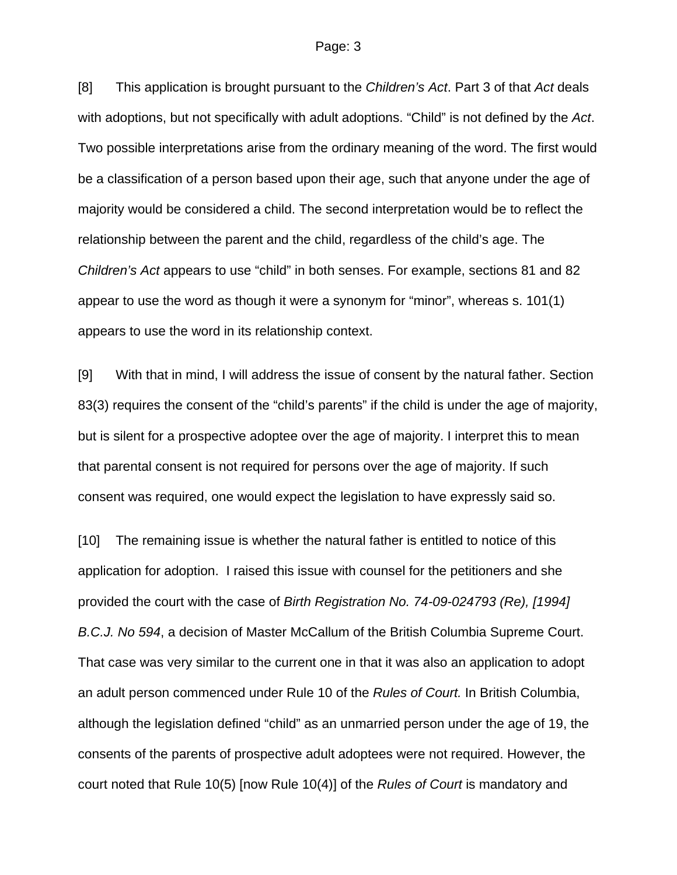## Page: 3

[8] This application is brought pursuant to the *Children's Act*. Part 3 of that *Act* deals with adoptions, but not specifically with adult adoptions. "Child" is not defined by the *Act*. Two possible interpretations arise from the ordinary meaning of the word. The first would be a classification of a person based upon their age, such that anyone under the age of majority would be considered a child. The second interpretation would be to reflect the relationship between the parent and the child, regardless of the child's age. The *Children's Act* appears to use "child" in both senses. For example, sections 81 and 82 appear to use the word as though it were a synonym for "minor", whereas s. 101(1) appears to use the word in its relationship context.

[9] With that in mind, I will address the issue of consent by the natural father. Section 83(3) requires the consent of the "child's parents" if the child is under the age of majority, but is silent for a prospective adoptee over the age of majority. I interpret this to mean that parental consent is not required for persons over the age of majority. If such consent was required, one would expect the legislation to have expressly said so.

[10] The remaining issue is whether the natural father is entitled to notice of this application for adoption. I raised this issue with counsel for the petitioners and she provided the court with the case of *Birth Registration No. 74-09-024793 (Re), [1994] B.C.J. No 594*, a decision of Master McCallum of the British Columbia Supreme Court. That case was very similar to the current one in that it was also an application to adopt an adult person commenced under Rule 10 of the *Rules of Court.* In British Columbia, although the legislation defined "child" as an unmarried person under the age of 19, the consents of the parents of prospective adult adoptees were not required. However, the court noted that Rule 10(5) [now Rule 10(4)] of the *Rules of Court* is mandatory and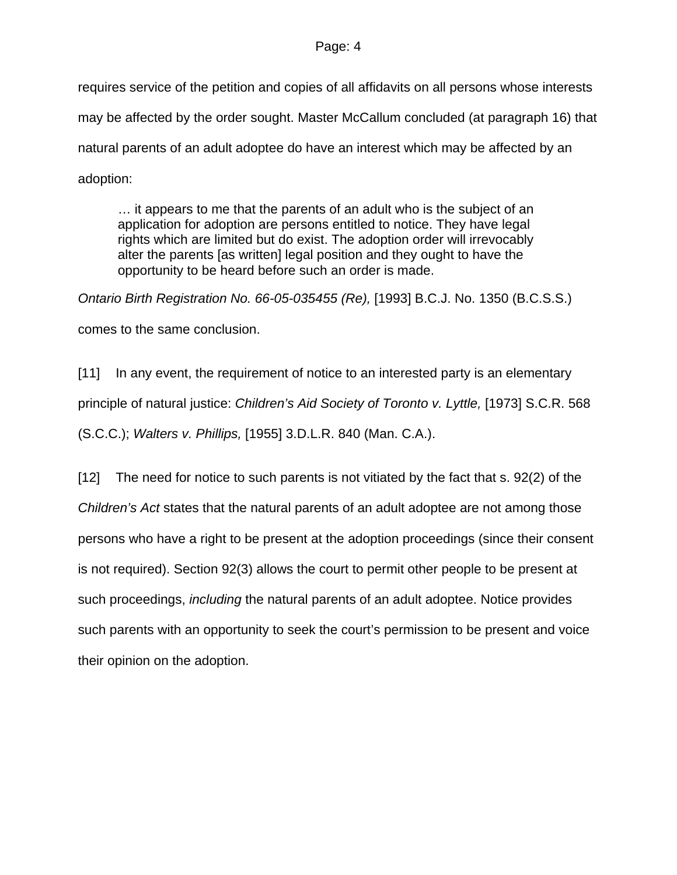## Page: 4

requires service of the petition and copies of all affidavits on all persons whose interests may be affected by the order sought. Master McCallum concluded (at paragraph 16) that natural parents of an adult adoptee do have an interest which may be affected by an adoption:

… it appears to me that the parents of an adult who is the subject of an application for adoption are persons entitled to notice. They have legal rights which are limited but do exist. The adoption order will irrevocably alter the parents [as written] legal position and they ought to have the opportunity to be heard before such an order is made.

*Ontario Birth Registration No. 66-05-035455 (Re),* [1993] B.C.J. No. 1350 (B.C.S.S.)

comes to the same conclusion.

[11] In any event, the requirement of notice to an interested party is an elementary principle of natural justice: *Children's Aid Society of Toronto v. Lyttle,* [1973] S.C.R. 568 (S.C.C.); *Walters v. Phillips,* [1955] 3.D.L.R. 840 (Man. C.A.).

[12] The need for notice to such parents is not vitiated by the fact that s. 92(2) of the *Children's Act* states that the natural parents of an adult adoptee are not among those persons who have a right to be present at the adoption proceedings (since their consent is not required). Section 92(3) allows the court to permit other people to be present at such proceedings, *including* the natural parents of an adult adoptee. Notice provides such parents with an opportunity to seek the court's permission to be present and voice their opinion on the adoption.